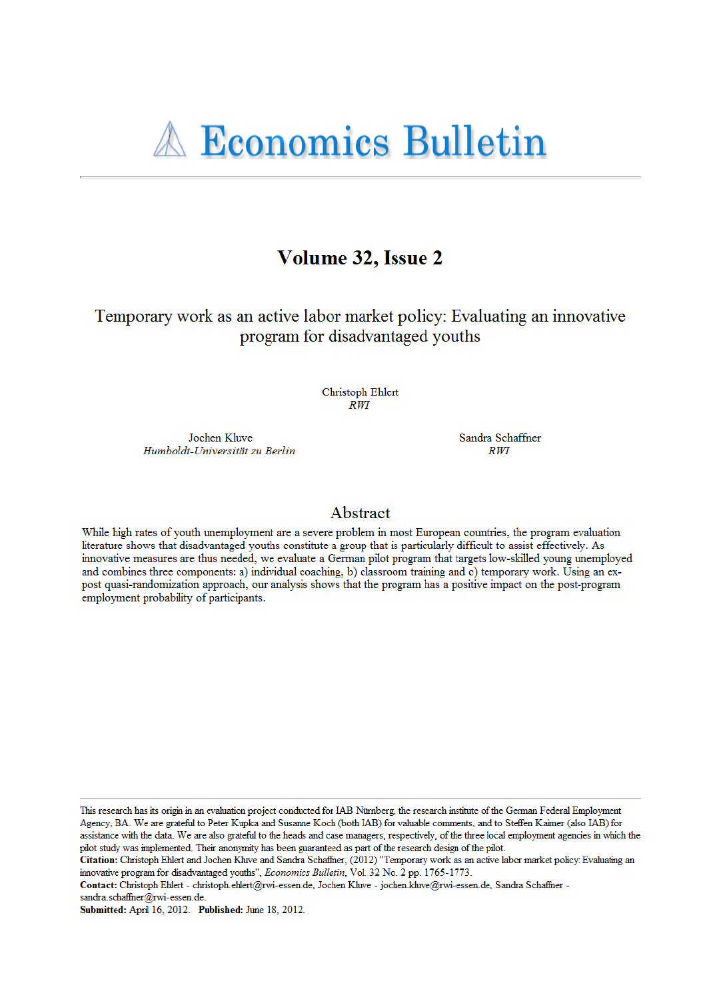# Volume 32, Issue 2

Temporary work as an active labor market policy: Evaluating an innovative program for disadvantaged youths

> Christoph Ehlert **RWT**

Jochen Kluve Humboldt-Universität zu Berlin Sandra Schaffner  $RWT$ 

# Abstract

While high rates of youth unemployment are a severe problem in most European countries, the program evaluation literature shows that disadvantaged youths constitute a group that is particularly difficult to assist effectively. As innovative measures are thus needed, we evaluate a German pilot program that targets low-skilled young unemployed and combines three components: a) individual coaching, b) classroom training and c) temporary work. Using an expost quasi-randomization approach, our analysis shows that the program has a positive impact on the post-program employment probability of participants.

This research has its origin in an evaluation project conducted for IAB Nürnberg, the research institute of the German Federal Employment Agency, BA. We are grateful to Peter Kupka and Susanne Koch (both IAB) for valuable comments, and to Steffen Kaimer (also IAB) for assistance with the data. We are also grateful to the heads and case managers, respectively, of the three local employment agencies in which the pilot study was implemented. Their anonymity has been guaranteed as part of the research design of the pilot.

Contact: Christoph Ehlert - christoph.ehlert@rwi-essen.de, Jochen Kluve - jochen.kluve@rwi-essen.de, Sandra Schaffner -

sandra.schaffner@rwi-essen.de.

Submitted: April 16, 2012. Published: June 18, 2012.

Citation: Christoph Ehlert and Jochen Kluve and Sandra Schaffner, (2012) "Temporary work as an active labor market policy: Evaluating an innovative program for disadvantaged youths", Economics Bulletin, Vol. 32 No. 2 pp. 1765-1773.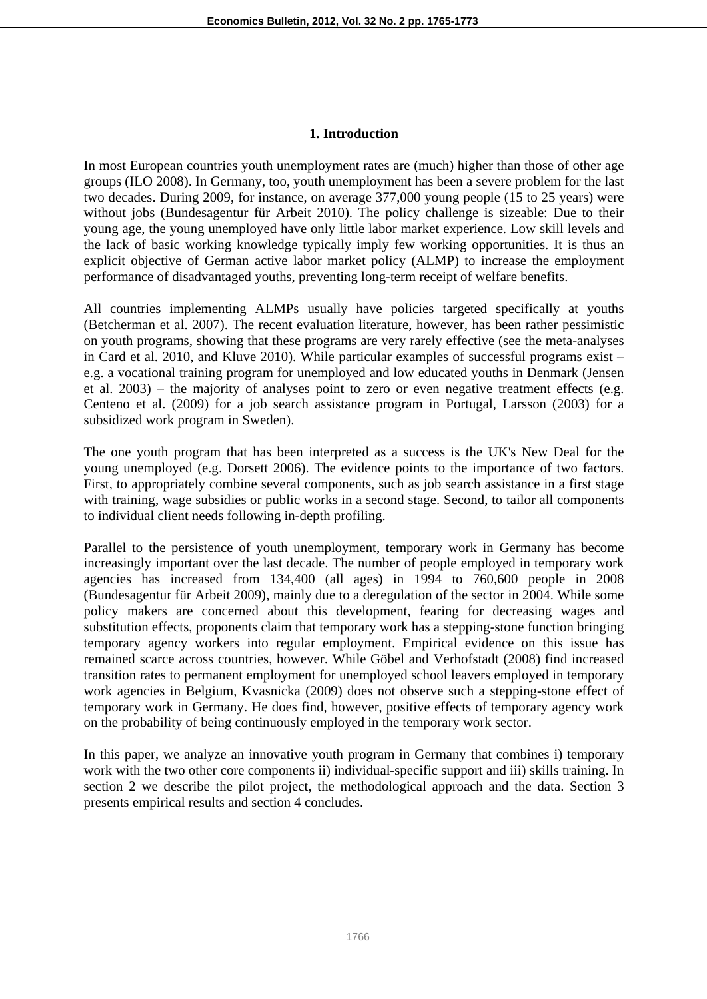### **1. Introduction**

In most European countries youth unemployment rates are (much) higher than those of other age groups (ILO 2008). In Germany, too, youth unemployment has been a severe problem for the last two decades. During 2009, for instance, on average 377,000 young people (15 to 25 years) were without jobs (Bundesagentur für Arbeit 2010). The policy challenge is sizeable: Due to their young age, the young unemployed have only little labor market experience. Low skill levels and the lack of basic working knowledge typically imply few working opportunities. It is thus an explicit objective of German active labor market policy (ALMP) to increase the employment performance of disadvantaged youths, preventing long-term receipt of welfare benefits.

All countries implementing ALMPs usually have policies targeted specifically at youths (Betcherman et al. 2007). The recent evaluation literature, however, has been rather pessimistic on youth programs, showing that these programs are very rarely effective (see the meta-analyses in Card et al. 2010, and Kluve 2010). While particular examples of successful programs exist – e.g. a vocational training program for unemployed and low educated youths in Denmark (Jensen et al. 2003) – the majority of analyses point to zero or even negative treatment effects (e.g. Centeno et al. (2009) for a job search assistance program in Portugal, Larsson (2003) for a subsidized work program in Sweden).

The one youth program that has been interpreted as a success is the UK's New Deal for the young unemployed (e.g. Dorsett 2006). The evidence points to the importance of two factors. First, to appropriately combine several components, such as job search assistance in a first stage with training, wage subsidies or public works in a second stage. Second, to tailor all components to individual client needs following in-depth profiling.

Parallel to the persistence of youth unemployment, temporary work in Germany has become increasingly important over the last decade. The number of people employed in temporary work agencies has increased from 134,400 (all ages) in 1994 to 760,600 people in 2008 (Bundesagentur für Arbeit 2009), mainly due to a deregulation of the sector in 2004. While some policy makers are concerned about this development, fearing for decreasing wages and substitution effects, proponents claim that temporary work has a stepping-stone function bringing temporary agency workers into regular employment. Empirical evidence on this issue has remained scarce across countries, however. While Göbel and Verhofstadt (2008) find increased transition rates to permanent employment for unemployed school leavers employed in temporary work agencies in Belgium, Kvasnicka (2009) does not observe such a stepping-stone effect of temporary work in Germany. He does find, however, positive effects of temporary agency work on the probability of being continuously employed in the temporary work sector.

In this paper, we analyze an innovative youth program in Germany that combines i) temporary work with the two other core components ii) individual-specific support and iii) skills training. In section 2 we describe the pilot project, the methodological approach and the data. Section 3 presents empirical results and section 4 concludes.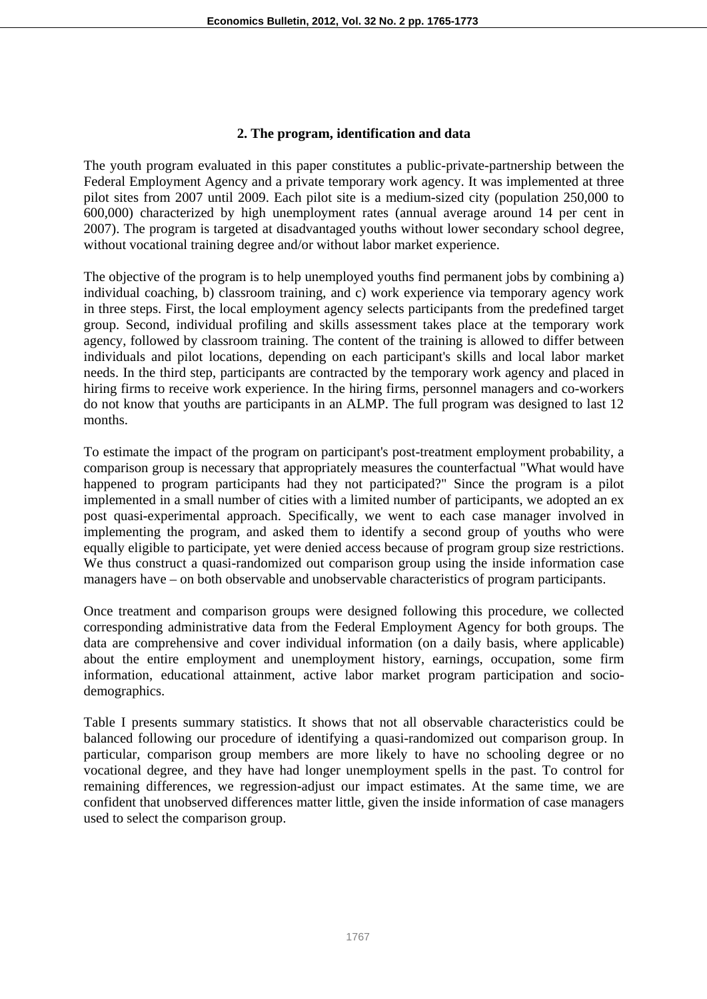#### **2. The program, identification and data**

The youth program evaluated in this paper constitutes a public-private-partnership between the Federal Employment Agency and a private temporary work agency. It was implemented at three pilot sites from 2007 until 2009. Each pilot site is a medium-sized city (population 250,000 to 600,000) characterized by high unemployment rates (annual average around 14 per cent in 2007). The program is targeted at disadvantaged youths without lower secondary school degree, without vocational training degree and/or without labor market experience.

The objective of the program is to help unemployed youths find permanent jobs by combining a) individual coaching, b) classroom training, and c) work experience via temporary agency work in three steps. First, the local employment agency selects participants from the predefined target group. Second, individual profiling and skills assessment takes place at the temporary work agency, followed by classroom training. The content of the training is allowed to differ between individuals and pilot locations, depending on each participant's skills and local labor market needs. In the third step, participants are contracted by the temporary work agency and placed in hiring firms to receive work experience. In the hiring firms, personnel managers and co-workers do not know that youths are participants in an ALMP. The full program was designed to last 12 months.

To estimate the impact of the program on participant's post-treatment employment probability, a comparison group is necessary that appropriately measures the counterfactual "What would have happened to program participants had they not participated?" Since the program is a pilot implemented in a small number of cities with a limited number of participants, we adopted an ex post quasi-experimental approach. Specifically, we went to each case manager involved in implementing the program, and asked them to identify a second group of youths who were equally eligible to participate, yet were denied access because of program group size restrictions. We thus construct a quasi-randomized out comparison group using the inside information case managers have – on both observable and unobservable characteristics of program participants.

Once treatment and comparison groups were designed following this procedure, we collected corresponding administrative data from the Federal Employment Agency for both groups. The data are comprehensive and cover individual information (on a daily basis, where applicable) about the entire employment and unemployment history, earnings, occupation, some firm information, educational attainment, active labor market program participation and sociodemographics.

Table I presents summary statistics. It shows that not all observable characteristics could be balanced following our procedure of identifying a quasi-randomized out comparison group. In particular, comparison group members are more likely to have no schooling degree or no vocational degree, and they have had longer unemployment spells in the past. To control for remaining differences, we regression-adjust our impact estimates. At the same time, we are confident that unobserved differences matter little, given the inside information of case managers used to select the comparison group.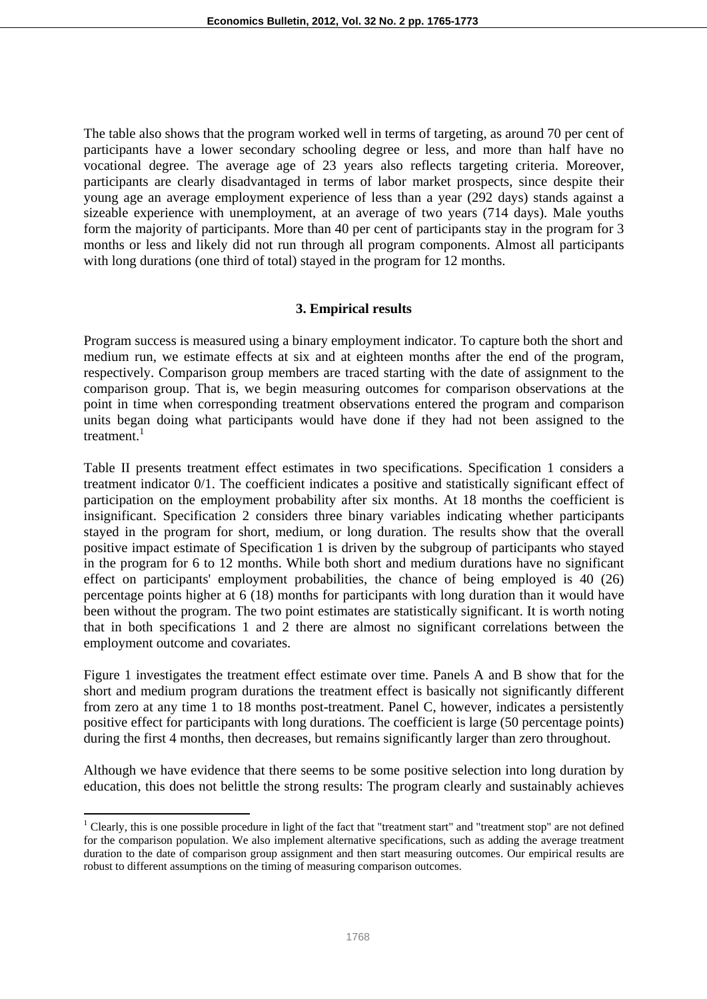The table also shows that the program worked well in terms of targeting, as around 70 per cent of participants have a lower secondary schooling degree or less, and more than half have no vocational degree. The average age of 23 years also reflects targeting criteria. Moreover, participants are clearly disadvantaged in terms of labor market prospects, since despite their young age an average employment experience of less than a year (292 days) stands against a sizeable experience with unemployment, at an average of two years (714 days). Male youths form the majority of participants. More than 40 per cent of participants stay in the program for 3 months or less and likely did not run through all program components. Almost all participants with long durations (one third of total) stayed in the program for 12 months.

## **3. Empirical results**

Program success is measured using a binary employment indicator. To capture both the short and medium run, we estimate effects at six and at eighteen months after the end of the program, respectively. Comparison group members are traced starting with the date of assignment to the comparison group. That is, we begin measuring outcomes for comparison observations at the point in time when corresponding treatment observations entered the program and comparison units began doing what participants would have done if they had not been assigned to the treatment. $1$ 

Table II presents treatment effect estimates in two specifications. Specification 1 considers a treatment indicator 0/1. The coefficient indicates a positive and statistically significant effect of participation on the employment probability after six months. At 18 months the coefficient is insignificant. Specification 2 considers three binary variables indicating whether participants stayed in the program for short, medium, or long duration. The results show that the overall positive impact estimate of Specification 1 is driven by the subgroup of participants who stayed in the program for 6 to 12 months. While both short and medium durations have no significant effect on participants' employment probabilities, the chance of being employed is 40 (26) percentage points higher at 6 (18) months for participants with long duration than it would have been without the program. The two point estimates are statistically significant. It is worth noting that in both specifications 1 and 2 there are almost no significant correlations between the employment outcome and covariates.

Figure 1 investigates the treatment effect estimate over time. Panels A and B show that for the short and medium program durations the treatment effect is basically not significantly different from zero at any time 1 to 18 months post-treatment. Panel C, however, indicates a persistently positive effect for participants with long durations. The coefficient is large (50 percentage points) during the first 4 months, then decreases, but remains significantly larger than zero throughout.

Although we have evidence that there seems to be some positive selection into long duration by education, this does not belittle the strong results: The program clearly and sustainably achieves

<sup>&</sup>lt;sup>1</sup> Clearly, this is one possible procedure in light of the fact that "treatment start" and "treatment stop" are not defined for the comparison population. We also implement alternative specifications, such as adding the average treatment duration to the date of comparison group assignment and then start measuring outcomes. Our empirical results are robust to different assumptions on the timing of measuring comparison outcomes.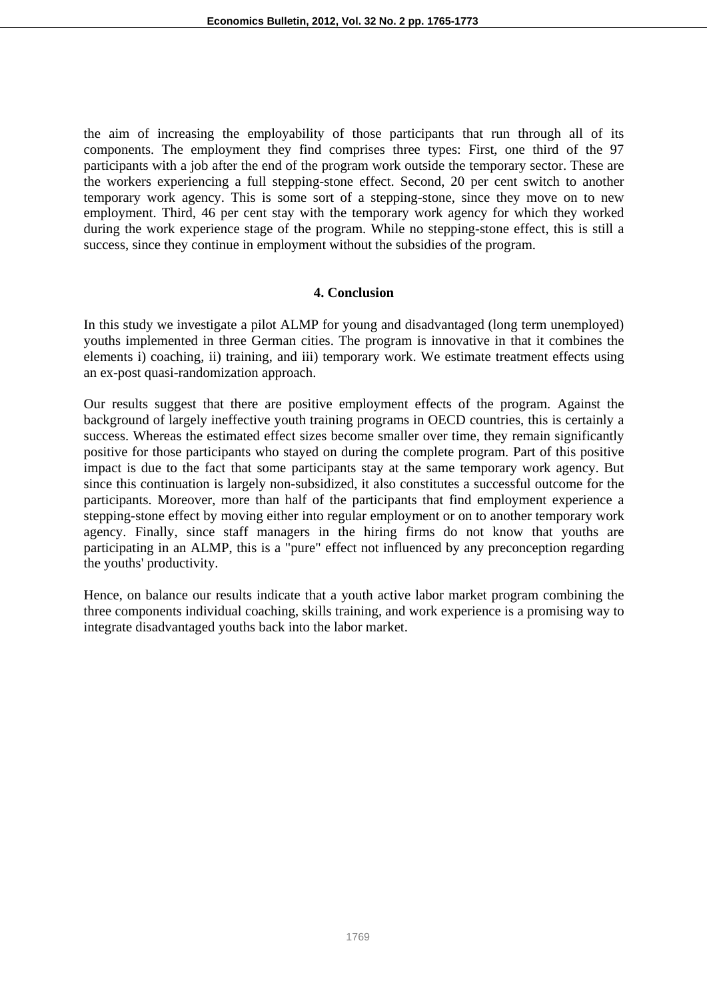the aim of increasing the employability of those participants that run through all of its components. The employment they find comprises three types: First, one third of the 97 participants with a job after the end of the program work outside the temporary sector. These are the workers experiencing a full stepping-stone effect. Second, 20 per cent switch to another temporary work agency. This is some sort of a stepping-stone, since they move on to new employment. Third, 46 per cent stay with the temporary work agency for which they worked during the work experience stage of the program. While no stepping-stone effect, this is still a success, since they continue in employment without the subsidies of the program.

#### **4. Conclusion**

In this study we investigate a pilot ALMP for young and disadvantaged (long term unemployed) youths implemented in three German cities. The program is innovative in that it combines the elements i) coaching, ii) training, and iii) temporary work. We estimate treatment effects using an ex-post quasi-randomization approach.

Our results suggest that there are positive employment effects of the program. Against the background of largely ineffective youth training programs in OECD countries, this is certainly a success. Whereas the estimated effect sizes become smaller over time, they remain significantly positive for those participants who stayed on during the complete program. Part of this positive impact is due to the fact that some participants stay at the same temporary work agency. But since this continuation is largely non-subsidized, it also constitutes a successful outcome for the participants. Moreover, more than half of the participants that find employment experience a stepping-stone effect by moving either into regular employment or on to another temporary work agency. Finally, since staff managers in the hiring firms do not know that youths are participating in an ALMP, this is a "pure" effect not influenced by any preconception regarding the youths' productivity.

Hence, on balance our results indicate that a youth active labor market program combining the three components individual coaching, skills training, and work experience is a promising way to integrate disadvantaged youths back into the labor market.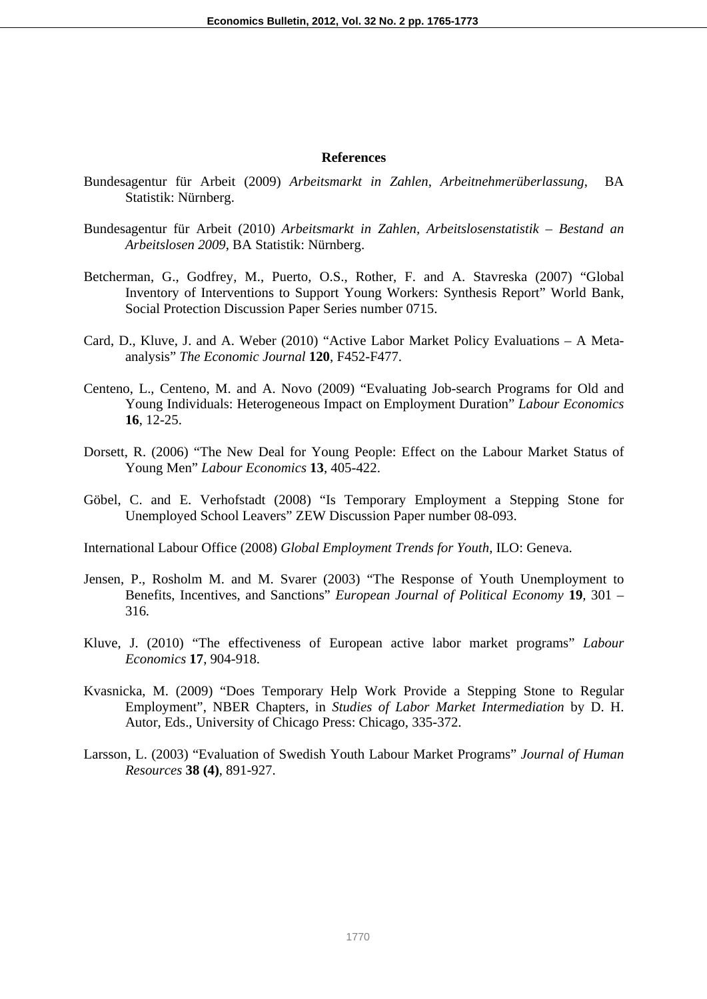#### **References**

- Bundesagentur für Arbeit (2009) *Arbeitsmarkt in Zahlen, Arbeitnehmerüberlassung*, BA Statistik: Nürnberg.
- Bundesagentur für Arbeit (2010) *Arbeitsmarkt in Zahlen, Arbeitslosenstatistik Bestand an Arbeitslosen 2009*, BA Statistik: Nürnberg.
- Betcherman, G., Godfrey, M., Puerto, O.S., Rother, F. and A. Stavreska (2007) "Global Inventory of Interventions to Support Young Workers: Synthesis Report" World Bank, Social Protection Discussion Paper Series number 0715.
- Card, D., Kluve, J. and A. Weber (2010) "Active Labor Market Policy Evaluations A Metaanalysis" *The Economic Journal* **120**, F452-F477.
- Centeno, L., Centeno, M. and A. Novo (2009) "Evaluating Job-search Programs for Old and Young Individuals: Heterogeneous Impact on Employment Duration" *Labour Economics*  **16**, 12-25.
- Dorsett, R. (2006) "The New Deal for Young People: Effect on the Labour Market Status of Young Men" *Labour Economics* **13**, 405-422.
- Göbel, C. and E. Verhofstadt (2008) "Is Temporary Employment a Stepping Stone for Unemployed School Leavers" ZEW Discussion Paper number 08-093.

International Labour Office (2008) *Global Employment Trends for Youth*, ILO: Geneva.

- Jensen, P., Rosholm M. and M. Svarer (2003) "The Response of Youth Unemployment to Benefits, Incentives, and Sanctions" *European Journal of Political Economy* **19***,* 301 – 316*.*
- Kluve, J. (2010) "The effectiveness of European active labor market programs" *Labour Economics* **17**, 904-918.
- Kvasnicka, M. (2009) "Does Temporary Help Work Provide a Stepping Stone to Regular Employment", NBER Chapters, in *Studies of Labor Market Intermediation* by D. H. Autor, Eds., University of Chicago Press: Chicago, 335-372.
- Larsson, L. (2003) "Evaluation of Swedish Youth Labour Market Programs" *Journal of Human Resources* **38 (4)**, 891-927.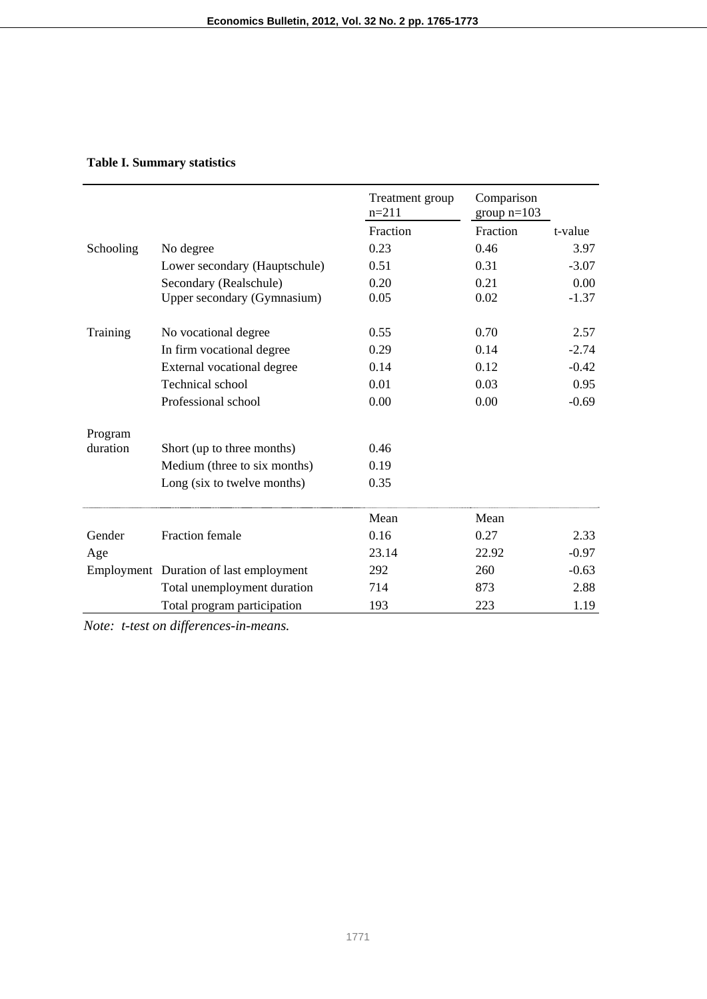## **Table I. Summary statistics**

|           |                                        | Treatment group<br>$n=211$ | Comparison<br>group $n=103$ |         |
|-----------|----------------------------------------|----------------------------|-----------------------------|---------|
|           |                                        | Fraction                   | Fraction                    | t-value |
| Schooling | No degree                              | 0.23                       | 0.46                        | 3.97    |
|           | Lower secondary (Hauptschule)          | 0.51                       | 0.31                        | $-3.07$ |
|           | Secondary (Realschule)                 | 0.20                       | 0.21                        | 0.00    |
|           | Upper secondary (Gymnasium)            | 0.05                       | 0.02                        | $-1.37$ |
| Training  | No vocational degree                   | 0.55                       | 0.70                        | 2.57    |
|           | In firm vocational degree              | 0.29                       | 0.14                        | $-2.74$ |
|           | External vocational degree             | 0.14                       | 0.12                        | $-0.42$ |
|           | Technical school                       | 0.01                       | 0.03                        | 0.95    |
|           | Professional school                    | 0.00                       | 0.00                        | $-0.69$ |
| Program   |                                        |                            |                             |         |
| duration  | Short (up to three months)             | 0.46                       |                             |         |
|           | Medium (three to six months)           | 0.19                       |                             |         |
|           | Long (six to twelve months)            | 0.35                       |                             |         |
|           |                                        | Mean                       | Mean                        |         |
| Gender    | <b>Fraction</b> female                 | 0.16                       | 0.27                        | 2.33    |
| Age       |                                        | 23.14                      | 22.92                       | $-0.97$ |
|           | Employment Duration of last employment | 292                        | 260                         | $-0.63$ |
|           | Total unemployment duration            | 714                        | 873                         | 2.88    |
|           | Total program participation            | 193                        | 223                         | 1.19    |

*Note: t-test on differences-in-means.*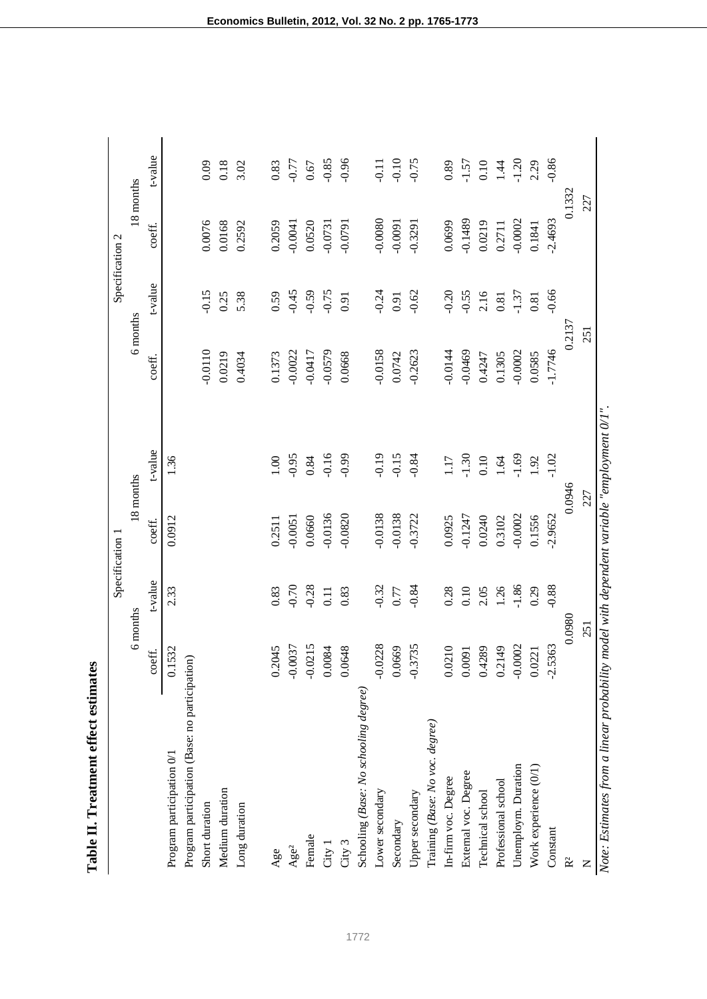Table II. Treatment effect estimates **Table II. Treatment effect estimates** 

|                                                |           |          | Specification 1 |                                                    |           | Specification 2 |           |          |
|------------------------------------------------|-----------|----------|-----------------|----------------------------------------------------|-----------|-----------------|-----------|----------|
|                                                | 6 months  |          | 18 months       |                                                    | 6 months  |                 | 18 months |          |
|                                                | coeff.    | t-value  | coeff.          | t-value                                            | coeff.    | t-value         | coeff.    | t-value  |
| Program participation 0/1                      | 0.1532    | 2.33     | 0.0912          | 1.36                                               |           |                 |           |          |
| Program participation (Base: no participation) |           |          |                 |                                                    |           |                 |           |          |
| Short duration                                 |           |          |                 |                                                    | $-0.0110$ | $-0.15$         | 0.0076    | 0.09     |
| Medium duration                                |           |          |                 |                                                    | 0.0219    | 0.25            | 0.0168    | 0.18     |
| Long duration                                  |           |          |                 |                                                    | 0.4034    | 5.38            | 0.2592    | 3.02     |
| Age                                            | 0.2045    | 0.83     | 0.2511          | $1.00\,$                                           | 0.1373    | 0.59            | 0.2059    | 0.83     |
| Age <sup>2</sup>                               | $-0.0037$ | $-0.70$  | $-0.0051$       | $-0.95$                                            | $-0.0022$ | $-0.45$         | $-0.0041$ | $-0.77$  |
| Female                                         | $-0.0215$ | $-0.28$  | 0.0660          | 0.84                                               | $-0.0417$ | $-0.59$         | 0.0520    | 0.67     |
| City 1                                         | 0.0084    | $0.11\,$ | $-0.0136$       | $-0.16$                                            | $-0.0579$ | $-0.75$         | $-0.0731$ | $-0.85$  |
| City 3                                         | 0.0648    | 0.83     | $-0.0820$       | $-0.99$                                            | 0.0668    | 0.91            | $-0.0791$ | $-0.96$  |
| Schooling (Base: No schooling degree)          |           |          |                 |                                                    |           |                 |           |          |
| Lower secondary                                | $-0.0228$ | $-0.32$  | $-0.0138$       | $-0.19$                                            | $-0.0158$ | $-0.24$         | $-0.0080$ | $-0.11$  |
| Secondary                                      | 0.0669    | $0.77\,$ | $-0.0138$       | $-0.15$                                            | 0.0742    | 0.91            | $-0.0091$ | $-0.10$  |
| Upper secondary                                | $-0.3735$ | $-0.84$  | $-0.3722$       | $-0.84$                                            | $-0.2623$ | $-0.62$         | $-0.3291$ | $-0.75$  |
| Training (Base: No voc. degree)                |           |          |                 |                                                    |           |                 |           |          |
| In-firm voc. Degree                            | 0.0210    | 0.28     | 0.0925          | 1.17                                               | $-0.0144$ | $-0.20$         | 0.0699    | 0.89     |
| External voc. Degree                           | 0.0091    | $0.10\,$ | $-0.1247$       | $-1.30$                                            | $-0.0469$ | $-0.55$         | $-0.1489$ | $-1.57$  |
| Technical school                               | 0.4289    | 2.05     | 0.0240          | 0.10                                               | 0.4247    | 2.16            | 0.0219    | $0.10\,$ |
| Professional school                            | 0.2149    | 1.26     | 0.3102          | 1.64                                               | 0.1305    | 0.81            | 0.2711    | 1.44     |
| Unemploym. Duration                            | $-0.0002$ | $-1.86$  | $-0.0002$       | $-1.69$                                            | $-0.0002$ | $-1.37$         | $-0.0002$ | $-1.20$  |
| Work experience (0/1)                          | 0.0221    | 0.29     | 0.1556          | 1.92                                               | 0.0585    | 0.81            | 0.1841    | 2.29     |
| Constant                                       | $-2.5363$ | $-0.88$  | $-2.9652$       | $-1.02$                                            | $-1.7746$ | $-0.66$         | $-2.4693$ | $-0.86$  |
| R <sup>2</sup>                                 | 0.0980    |          | 0.0946          |                                                    | 0.2137    |                 | 0.1332    |          |
| Z                                              | 251       |          | 227             |                                                    | 251       |                 | 227       |          |
| Note: Estimates from a linear probability      |           |          |                 | model with dependent variable "employment $0/1$ ". |           |                 |           |          |